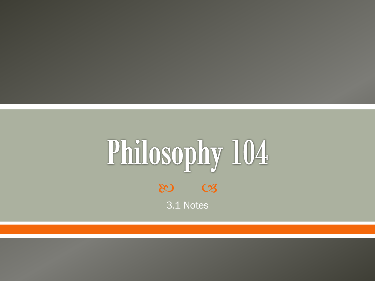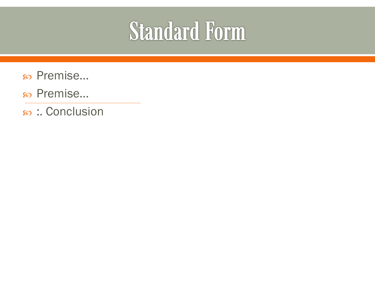### **Standard Form**

- Premise…
- Premise…
- :. Conclusion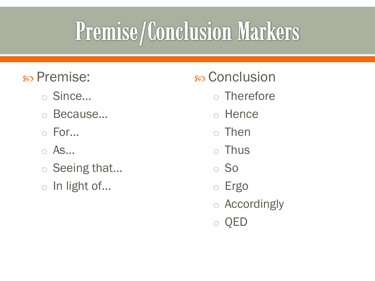### Premise/Conclusion Markers

- Premise:
	- o Since…
	- o Because…
	- o For…
	- o As…
	- o Seeing that…
	- o In light of…
- Conclusion
	- o Therefore
	- o Hence
	- o Then
	- o Thus
	- o So
	- o Ergo
	- o Accordingly
	- o QED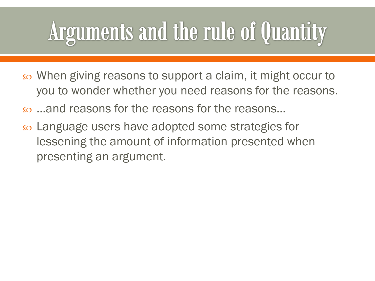## Arguments and the rule of Quantity

- When giving reasons to support a claim, it might occur to you to wonder whether you need reasons for the reasons.
- …and reasons for the reasons for the reasons…
- Language users have adopted some strategies for lessening the amount of information presented when presenting an argument.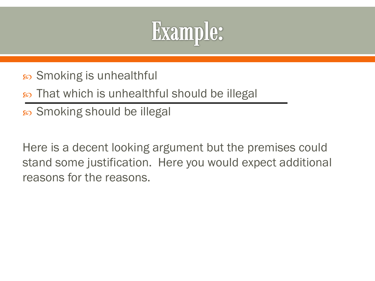

- so Smoking is unhealthful
- so That which is unhealthful should be illegal
- so Smoking should be illegal

Here is a decent looking argument but the premises could stand some justification. Here you would expect additional reasons for the reasons.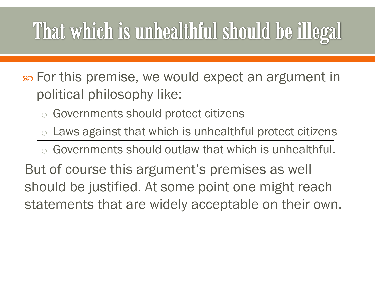### That which is unhealthful should be illegal

 $\infty$  For this premise, we would expect an argument in political philosophy like:

- Governments should protect citizens
- $\circ$  Laws against that which is unhealthful protect citizens
- o Governments should outlaw that which is unhealthful.

But of course this argument's premises as well should be justified. At some point one might reach statements that are widely acceptable on their own.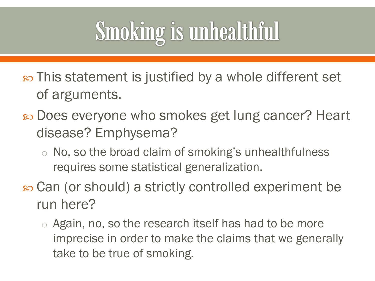### **Smoking is unhealthful**

- $\infty$  This statement is justified by a whole different set of arguments.
- Does everyone who smokes get lung cancer? Heart disease? Emphysema?
	- o No, so the broad claim of smoking's unhealthfulness requires some statistical generalization.
- Can (or should) a strictly controlled experiment be run here?
	- o Again, no, so the research itself has had to be more imprecise in order to make the claims that we generally take to be true of smoking.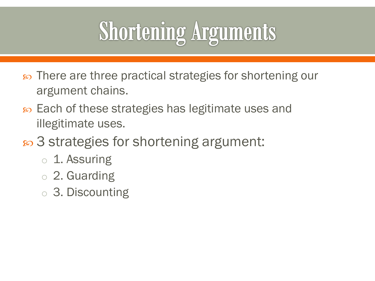## **Shortening Arguments**

- so There are three practical strategies for shortening our argument chains.
- so Each of these strategies has legitimate uses and illegitimate uses.
- 3 strategies for shortening argument:
	- o 1. Assuring
	- o 2. Guarding
	- o 3. Discounting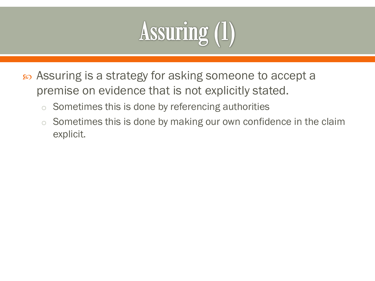# Assuring (1)

- Assuring is a strategy for asking someone to accept a premise on evidence that is not explicitly stated.
	- $\circ$  Sometimes this is done by referencing authorities
	- $\circ$  Sometimes this is done by making our own confidence in the claim explicit.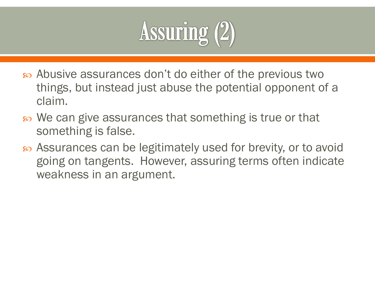

- Abusive assurances don't do either of the previous two things, but instead just abuse the potential opponent of a claim.
- so We can give assurances that something is true or that something is false.
- Assurances can be legitimately used for brevity, or to avoid going on tangents. However, assuring terms often indicate weakness in an argument.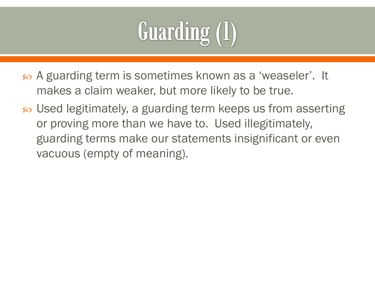

- A guarding term is sometimes known as a 'weaseler'. It makes a claim weaker, but more likely to be true.
- Used legitimately, a guarding term keeps us from asserting or proving more than we have to. Used illegitimately, guarding terms make our statements insignificant or even vacuous (empty of meaning).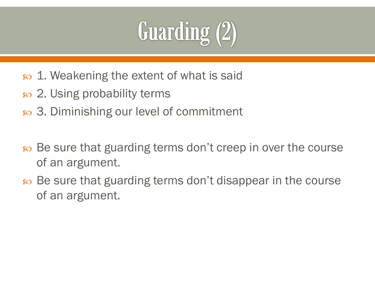

- $\infty$  1. Weakening the extent of what is said
- so 2. Using probability terms
- $\infty$  3. Diminishing our level of commitment
- Be sure that guarding terms don't creep in over the course of an argument.
- so Be sure that guarding terms don't disappear in the course of an argument.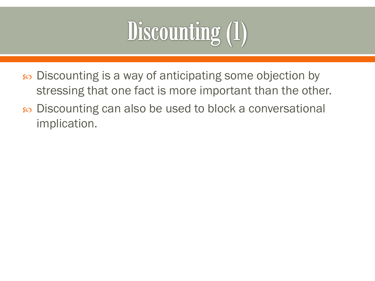

- Discounting is a way of anticipating some objection by stressing that one fact is more important than the other.
- so Discounting can also be used to block a conversational implication.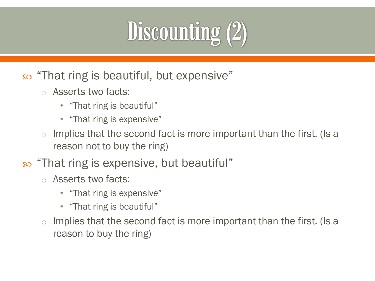# **Discounting (2)**

- $\infty$  "That ring is beautiful, but expensive"
	- o Asserts two facts:
		- "That ring is beautiful"
		- "That ring is expensive"
	- $\circ$  Implies that the second fact is more important than the first. (Is a reason not to buy the ring)
- $\infty$  "That ring is expensive, but beautiful"
	- o Asserts two facts:
		- "That ring is expensive"
		- "That ring is beautiful"
	- $\circ$  Implies that the second fact is more important than the first. (Is a reason to buy the ring)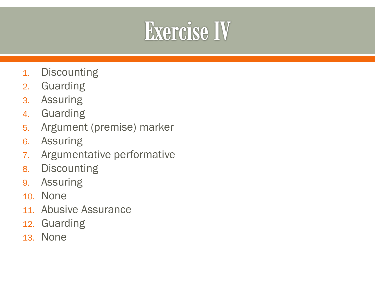#### **Exercise IV**

- 1. Discounting
- 2. Guarding
- 3. Assuring
- 4. Guarding
- 5. Argument (premise) marker
- 6. Assuring
- 7. Argumentative performative
- 8. Discounting
- 9. Assuring
- 10. None
- 11. Abusive Assurance
- 12. Guarding
- 13. None